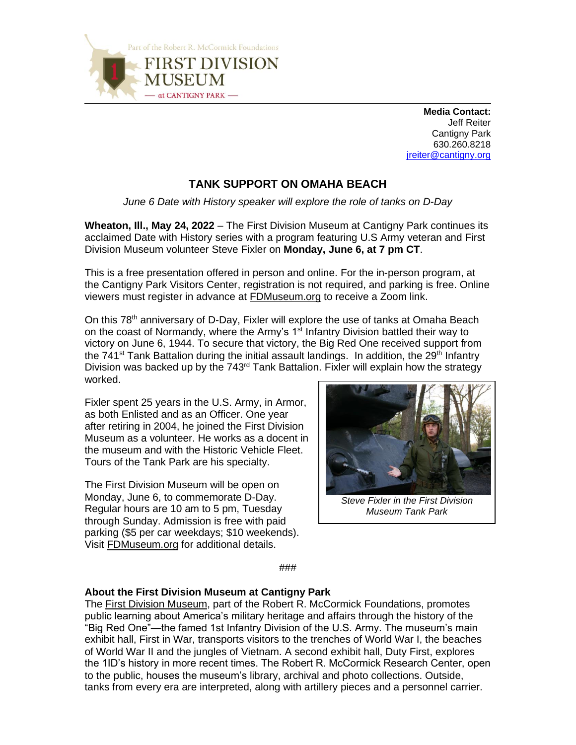

 **Media Contact:** Jeff Reiter Cantigny Park 630.260.8218 [jreiter@cantigny.org](mailto:jreiter@cantigny.org)

## **TANK SUPPORT ON OMAHA BEACH**

*June 6 Date with History speaker will explore the role of tanks on D-Day* 

**Wheaton, Ill., May 24, 2022** – The First Division Museum at Cantigny Park continues its acclaimed Date with History series with a program featuring U.S Army veteran and First Division Museum volunteer Steve Fixler on **Monday, June 6, at 7 pm CT**.

This is a free presentation offered in person and online. For the in-person program, at the Cantigny Park Visitors Center, registration is not required, and parking is free. Online viewers must register in advance at [FDMuseum.org](https://www.fdmuseum.org/event/date-with-history-tank-support-on-omaha-beach/) to receive a Zoom link.

On this 78<sup>th</sup> anniversary of D-Day, Fixler will explore the use of tanks at Omaha Beach on the coast of Normandy, where the Army's 1<sup>st</sup> Infantry Division battled their way to victory on June 6, 1944. To secure that victory, the Big Red One received support from the 741<sup>st</sup> Tank Battalion during the initial assault landings. In addition, the 29<sup>th</sup> Infantry Division was backed up by the 743<sup>rd</sup> Tank Battalion. Fixler will explain how the strategy worked.

Fixler spent 25 years in the U.S. Army, in Armor, as both Enlisted and as an Officer. One year after retiring in 2004, he joined the First Division Museum as a volunteer. He works as a docent in the museum and with the Historic Vehicle Fleet. Tours of the Tank Park are his specialty.

The First Division Museum will be open on Monday, June 6, to commemorate D-Day. Regular hours are 10 am to 5 pm, Tuesday through Sunday. Admission is free with paid parking (\$5 per car weekdays; \$10 weekends). Visit [FDMuseum.org](http://www.fdmuseum.org/) for additional details.



*Steve Fixler in the First Division Museum Tank Park*

###

## **About the First Division Museum at Cantigny Park**

The [First Division Museum,](http://www.fdmuseum.org/) part of the Robert R. McCormick Foundations, promotes public learning about America's military heritage and affairs through the history of the "Big Red One"—the famed 1st Infantry Division of the U.S. Army. The museum's main exhibit hall, First in War, transports visitors to the trenches of World War I, the beaches of World War II and the jungles of Vietnam. A second exhibit hall, Duty First, explores the 1ID's history in more recent times. The Robert R. McCormick Research Center, open to the public, houses the museum's library, archival and photo collections. Outside, tanks from every era are interpreted, along with artillery pieces and a personnel carrier.